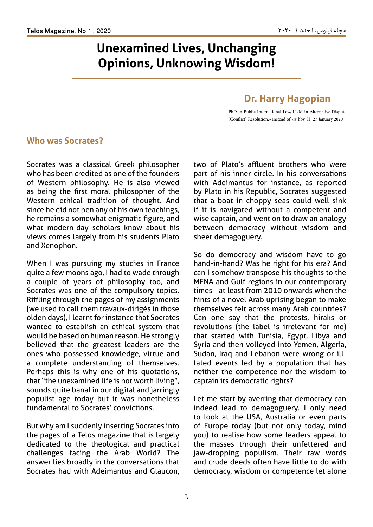# **Unexamined Lives, Unchanging Opinions, Unknowing Wisdom!**

# **Dr. Harry Hagopian**

PhD in Public International Law, LL.M in Alternative Dispute (Conflict) Resolution.» instead of «© hbv\_H, 27 January 2020

# **Who was Socrates?**

Socrates was a classical Greek philosopher who has been credited as one of the founders of Western philosophy. He is also viewed as being the first moral philosopher of the Western ethical tradition of thought. And since he did not pen any of his own teachings, he remains a somewhat enigmatic figure, and what modern-day scholars know about his views comes largely from his students Plato and Xenophon.

When I was pursuing my studies in France quite a few moons ago, I had to wade through a couple of years of philosophy too, and Socrates was one of the compulsory topics. Riffling through the pages of my assignments (we used to call them travaux-dirigés in those olden days), I learnt for instance that Socrates wanted to establish an ethical system that would be based on human reason. He strongly believed that the greatest leaders are the ones who possessed knowledge, virtue and a complete understanding of themselves. Perhaps this is why one of his quotations, that "the unexamined life is not worth living", sounds quite banal in our digital and jarringly populist age today but it was nonetheless fundamental to Socrates' convictions.

But why am I suddenly inserting Socrates into the pages of a Telos magazine that is largely dedicated to the theological and practical challenges facing the Arab World? The answer lies broadly in the conversations that Socrates had with Adeimantus and Glaucon, two of Plato's affluent brothers who were part of his inner circle. In his conversations with Adeimantus for instance, as reported by Plato in his Republic, Socrates suggested that a boat in choppy seas could well sink if it is navigated without a competent and wise captain, and went on to draw an analogy between democracy without wisdom and sheer demagoguery.

So do democracy and wisdom have to go hand-in-hand? Was he right for his era? And can I somehow transpose his thoughts to the MENA and Gulf regions in our contemporary times - at least from 2010 onwards when the hints of a novel Arab uprising began to make themselves felt across many Arab countries? Can one say that the protests, hiraks or revolutions (the label is irrelevant for me) that started with Tunisia, Egypt, Libya and Syria and then volleyed into Yemen, Algeria, Sudan, Iraq and Lebanon were wrong or illfated events led by a population that has neither the competence nor the wisdom to captain its democratic rights?

Let me start by averring that democracy can indeed lead to demagoguery. I only need to look at the USA, Australia or even parts of Europe today (but not only today, mind you) to realise how some leaders appeal to the masses through their unfettered and jaw-dropping populism. Their raw words and crude deeds often have little to do with democracy, wisdom or competence let alone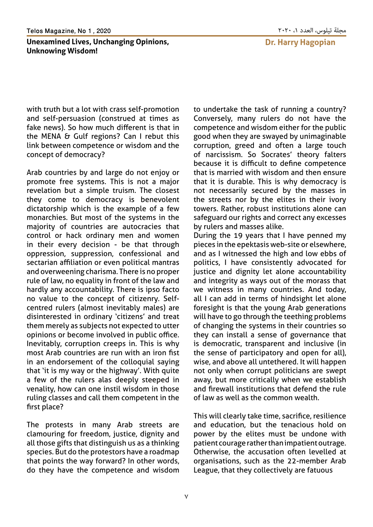#### مجلة تيلوس، العدد ،1 2020 2020 , 1 No ,Magazine Telos

## **Unexamined Lives, Unchanging Opinions, Unknowing Wisdom!**

**Dr. Harry Hagopian** 

with truth but a lot with crass self-promotion and self-persuasion (construed at times as fake news). So how much different is that in the MENA & Gulf regions? Can I rebut this link between competence or wisdom and the concept of democracy?

Arab countries by and large do not enjoy or promote free systems. This is not a major revelation but a simple truism. The closest they come to democracy is benevolent dictatorship which is the example of a few monarchies. But most of the systems in the majority of countries are autocracies that control or hack ordinary men and women in their every decision - be that through oppression, suppression, confessional and sectarian affiliation or even political mantras and overweening charisma. There is no proper rule of law, no equality in front of the law and hardly any accountability. There is ipso facto no value to the concept of citizenry. Selfcentred rulers (almost inevitably males) are disinterested in ordinary 'citizens' and treat them merely as subjects not expected to utter opinions or become involved in public office. Inevitably, corruption creeps in. This is why most Arab countries are run with an iron fist in an endorsement of the colloquial saying that 'it is my way or the highway'. With quite a few of the rulers alas deeply steeped in venality, how can one instil wisdom in those ruling classes and call them competent in the first place?

The protests in many Arab streets are clamouring for freedom, justice, dignity and all those gifts that distinguish us as a thinking species. But do the protestors have a roadmap that points the way forward? In other words, do they have the competence and wisdom to undertake the task of running a country? Conversely, many rulers do not have the competence and wisdom either for the public good when they are swayed by unimaginable corruption, greed and often a large touch of narcissism. So Socrates' theory falters because it is difficult to define competence that is married with wisdom and then ensure that it is durable. This is why democracy is not necessarily secured by the masses in the streets nor by the elites in their ivory towers. Rather, robust institutions alone can safeguard our rights and correct any excesses by rulers and masses alike.

During the 19 years that I have penned my pieces in the epektasis web-site or elsewhere, and as I witnessed the high and low ebbs of politics, I have consistently advocated for justice and dignity let alone accountability and integrity as ways out of the morass that we witness in many countries. And today, all I can add in terms of hindsight let alone foresight is that the young Arab generations will have to go through the teething problems of changing the systems in their countries so they can install a sense of governance that is democratic, transparent and inclusive (in the sense of participatory and open for all), wise, and above all untethered. It will happen not only when corrupt politicians are swept away, but more critically when we establish and firewall institutions that defend the rule of law as well as the common wealth.

This will clearly take time, sacrifice, resilience and education, but the tenacious hold on power by the elites must be undone with patient courage rather than impatient outrage. Otherwise, the accusation often levelled at organisations, such as the 22-member Arab League, that they collectively are fatuous